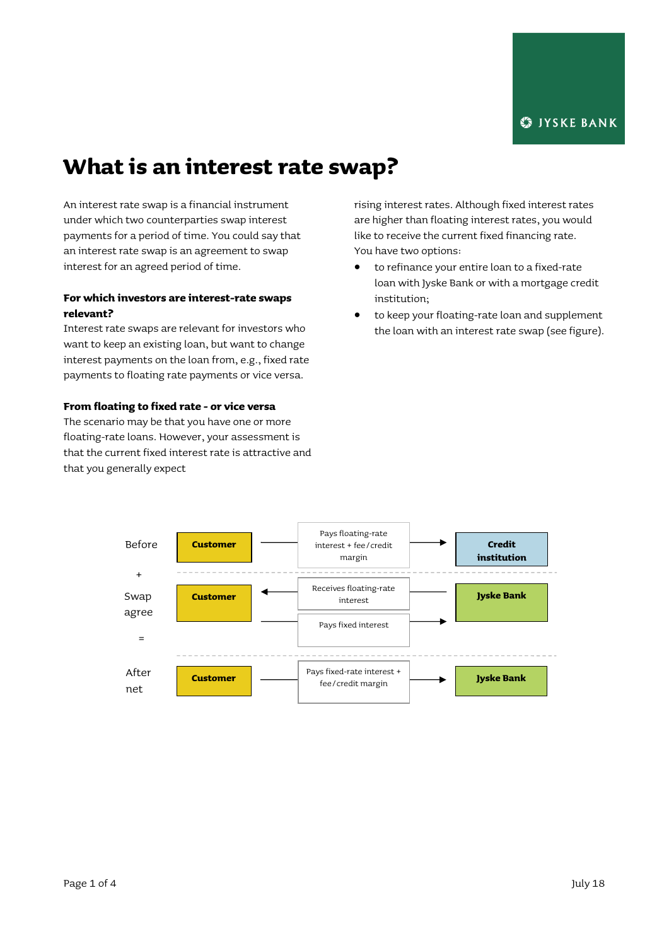# **What is an interest rate swap?**

An interest rate swap is a financial instrument under which two counterparties swap interest payments for a period of time. You could say that an interest rate swap is an agreement to swap interest for an agreed period of time.

## **For which investors are interest-rate swaps relevant?**

Interest rate swaps are relevant for investors who want to keep an existing loan, but want to change interest payments on the loan from, e.g., fixed rate payments to floating rate payments or vice versa.

## **From floating to fixed rate - or vice versa**

The scenario may be that you have one or more floating-rate loans. However, your assessment is that the current fixed interest rate is attractive and that you generally expect

rising interest rates. Although fixed interest rates are higher than floating interest rates, you would like to receive the current fixed financing rate. You have two options:

- to refinance your entire loan to a fixed-rate loan with Jyske Bank or with a mortgage credit institution;
- to keep your floating-rate loan and supplement the loan with an interest rate swap (see figure).

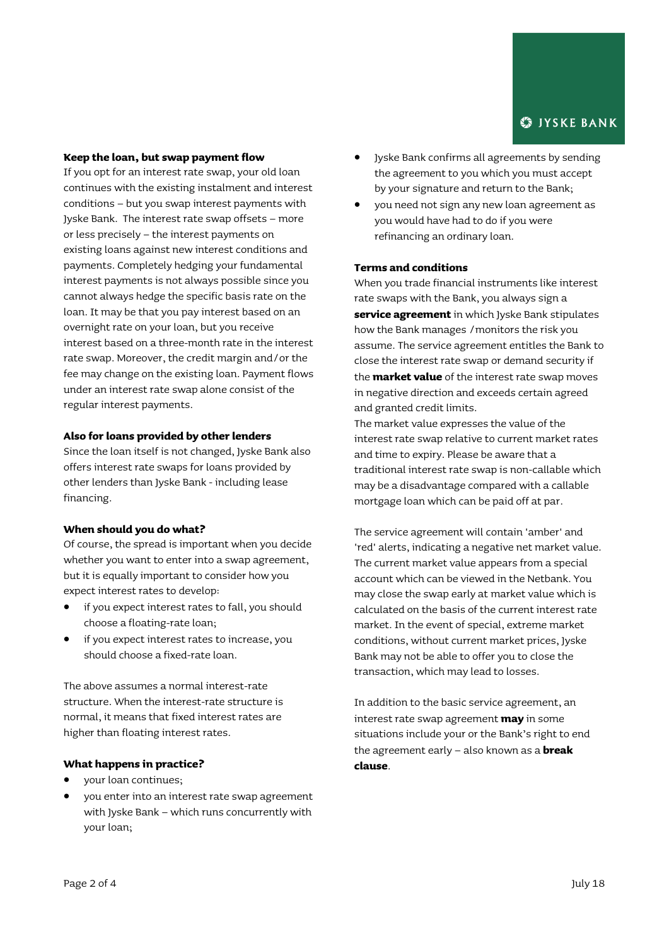## **S**IYSKE BANK

## **Keep the loan, but swap payment flow**

If you opt for an interest rate swap, your old loan continues with the existing instalment and interest conditions – but you swap interest payments with Jyske Bank. The interest rate swap offsets – more or less precisely – the interest payments on existing loans against new interest conditions and payments. Completely hedging your fundamental interest payments is not always possible since you cannot always hedge the specific basis rate on the loan. It may be that you pay interest based on an overnight rate on your loan, but you receive interest based on a three-month rate in the interest rate swap. Moreover, the credit margin and/or the fee may change on the existing loan. Payment flows under an interest rate swap alone consist of the regular interest payments.

## **Also for loans provided by other lenders**

Since the loan itself is not changed, Jyske Bank also offers interest rate swaps for loans provided by other lenders than Jyske Bank - including lease financing.

#### **When should you do what?**

Of course, the spread is important when you decide whether you want to enter into a swap agreement, but it is equally important to consider how you expect interest rates to develop:

- if you expect interest rates to fall, you should choose a floating-rate loan;
- if you expect interest rates to increase, you should choose a fixed-rate loan.

The above assumes a normal interest-rate structure. When the interest-rate structure is normal, it means that fixed interest rates are higher than floating interest rates.

## **What happens in practice?**

- your loan continues;
- you enter into an interest rate swap agreement with Jyske Bank – which runs concurrently with your loan;
- Jyske Bank confirms all agreements by sending the agreement to you which you must accept by your signature and return to the Bank;
- you need not sign any new loan agreement as you would have had to do if you were refinancing an ordinary loan.

## **Terms and conditions**

When you trade financial instruments like interest rate swaps with the Bank, you always sign a **service agreement** in which Jyske Bank stipulates how the Bank manages /monitors the risk you assume. The service agreement entitles the Bank to close the interest rate swap or demand security if the **market value** of the interest rate swap moves in negative direction and exceeds certain agreed and granted credit limits.

The market value expresses the value of the interest rate swap relative to current market rates and time to expiry. Please be aware that a traditional interest rate swap is non-callable which may be a disadvantage compared with a callable mortgage loan which can be paid off at par.

The service agreement will contain 'amber' and 'red' alerts, indicating a negative net market value. The current market value appears from a special account which can be viewed in the Netbank. You may close the swap early at market value which is calculated on the basis of the current interest rate market. In the event of special, extreme market conditions, without current market prices, Jyske Bank may not be able to offer you to close the transaction, which may lead to losses.

In addition to the basic service agreement, an interest rate swap agreement **may** in some situations include your or the Bank's right to end the agreement early – also known as a **break clause**.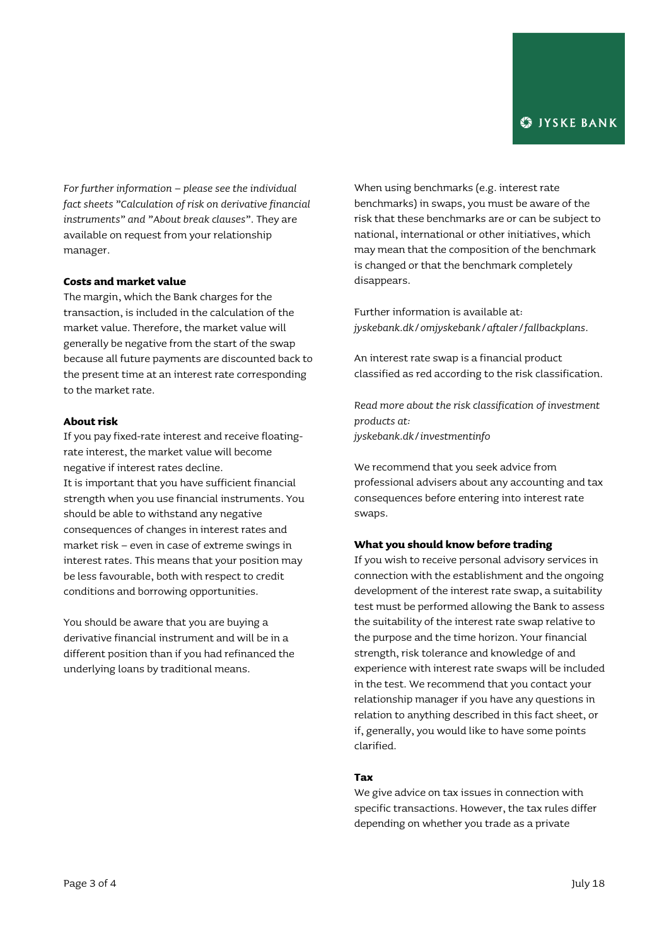*For further information – please see the individual fact sheets "Calculation of risk on derivative financial instruments" and "About break clauses".* They are available on request from your relationship manager.

## **Costs and market value**

The margin, which the Bank charges for the transaction, is included in the calculation of the market value. Therefore, the market value will generally be negative from the start of the swap because all future payments are discounted back to the present time at an interest rate corresponding to the market rate.

#### **About risk**

If you pay fixed-rate interest and receive floatingrate interest, the market value will become negative if interest rates decline. It is important that you have sufficient financial strength when you use financial instruments. You should be able to withstand any negative consequences of changes in interest rates and market risk – even in case of extreme swings in interest rates. This means that your position may be less favourable, both with respect to credit conditions and borrowing opportunities.

You should be aware that you are buying a derivative financial instrument and will be in a different position than if you had refinanced the underlying loans by traditional means.

When using benchmarks (e.g. interest rate benchmarks) in swaps, you must be aware of the risk that these benchmarks are or can be subject to national, international or other initiatives, which may mean that the composition of the benchmark is changed or that the benchmark completely disappears.

Further information is available at: *[jyskebank.dk/omjyskebank/aftaler/fallbackplans.](http://www.jyskebank.dk/omjyskebank/aftaler/fallbackplans)*

An interest rate swap is a financial product classified as red according to the risk classification.

*Read more about the risk classification of investment products at: jyskebank.dk/investmentinfo*

We recommend that you seek advice from professional advisers about any accounting and tax consequences before entering into interest rate swaps.

#### **What you should know before trading**

If you wish to receive personal advisory services in connection with the establishment and the ongoing development of the interest rate swap, a suitability test must be performed allowing the Bank to assess the suitability of the interest rate swap relative to the purpose and the time horizon. Your financial strength, risk tolerance and knowledge of and experience with interest rate swaps will be included in the test. We recommend that you contact your relationship manager if you have any questions in relation to anything described in this fact sheet, or if, generally, you would like to have some points clarified.

## **Tax**

We give advice on tax issues in connection with specific transactions. However, the tax rules differ depending on whether you trade as a private